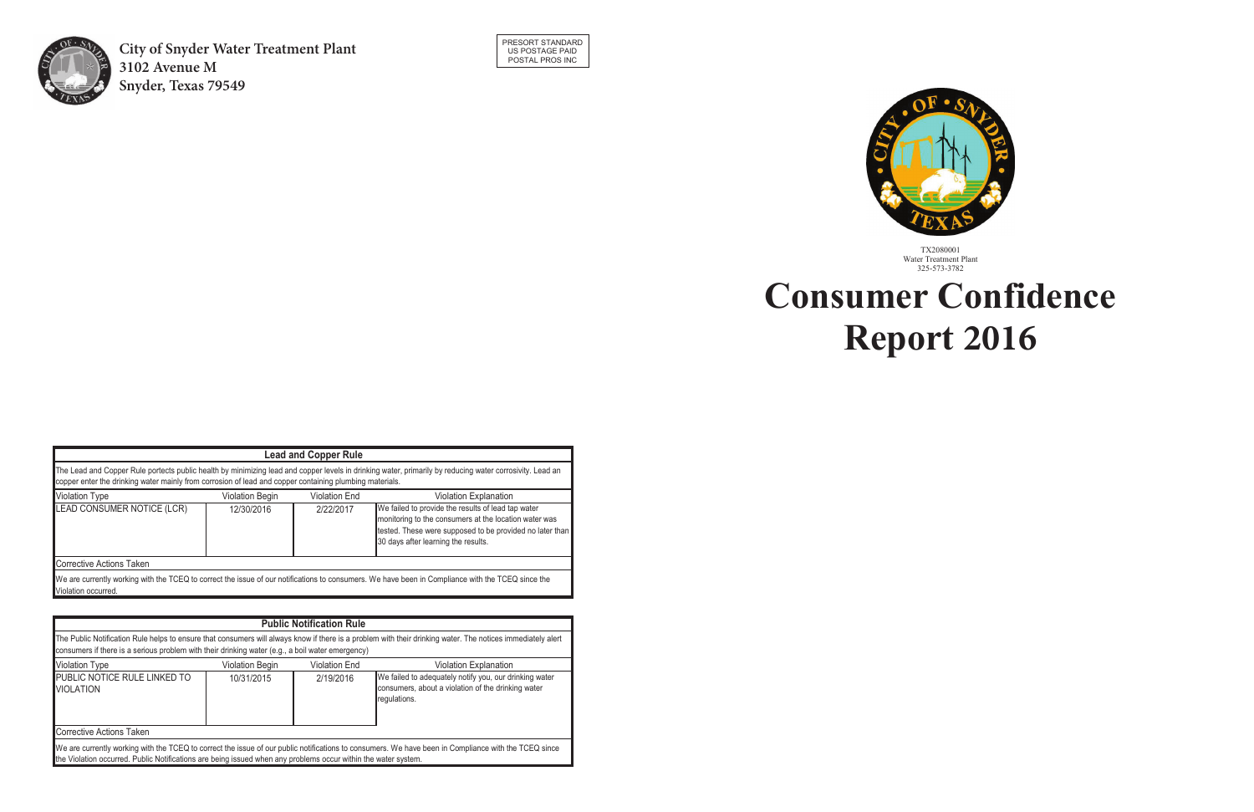



# Water Treatment Plant 325-573-3782 **Consumer Confidence Report 2013 Consumer Confidence Report 2015 2016**

| consumers if there is a serious problem with their drinking water (e.g., a boil water emergency)               |                        | <b>Public Notification Rule</b> | The Public Notification Rule helps to ensure that consumers will always know if there is a problem with their drinking water. The notices immediately alert |
|----------------------------------------------------------------------------------------------------------------|------------------------|---------------------------------|-------------------------------------------------------------------------------------------------------------------------------------------------------------|
| <b>Violation Type</b>                                                                                          | <b>Violation Begin</b> | <b>Violation End</b>            | <b>Violation Explanation</b>                                                                                                                                |
| PUBLIC NOTICE RULE LINKED TO<br><b>NOLATION</b>                                                                | 10/31/2015             | 2/19/2016                       | We failed to adequately notify you, our drinking water<br>consumers, about a violation of the drinking water<br>regulations.                                |
| Corrective Actions Taken                                                                                       |                        |                                 |                                                                                                                                                             |
| the Violation occurred. Public Notifications are being issued when any problems occur within the water system. |                        |                                 | We are currently working with the TCEQ to correct the issue of our public notifications to consumers. We have been in Compliance with the TCEQ since        |

|                                                                                                         |            | <b>Lead and Copper Rule</b> |                                                                                                                                                                                                                |
|---------------------------------------------------------------------------------------------------------|------------|-----------------------------|----------------------------------------------------------------------------------------------------------------------------------------------------------------------------------------------------------------|
| copper enter the drinking water mainly from corrosion of lead and copper containing plumbing materials. |            |                             | The Lead and Copper Rule portects public health by minimizing lead and copper levels in drinking water, primarily by reducing water corrosivity. Lead an                                                       |
| Violation Type<br>Violation Begin<br><b>Violation End</b><br>Violation Explanation                      |            |                             |                                                                                                                                                                                                                |
| <b>LEAD CONSUMER NOTICE (LCR)</b>                                                                       | 12/30/2016 | 2/22/2017                   | We failed to provide the results of lead tap water<br>monitoring to the consumers at the location water was<br>tested. These were supposed to be provided no later than<br>30 days after learning the results. |
| Corrective Actions Taken                                                                                |            |                             |                                                                                                                                                                                                                |
| Violation occurred.                                                                                     |            |                             | We are currently working with the TCEQ to correct the issue of our notifications to consumers. We have been in Compliance with the TCEQ since the                                                              |

TX2080001 Water Treatment Plant 325-573-3782



City of Snyder Water Treatment Plant **1925 2022 Avenue M Snyder, Texas 79549**  $\Omega_{\rm F}$  is a measurement of the clouding of the water caused by suspendies of the water caused particles.